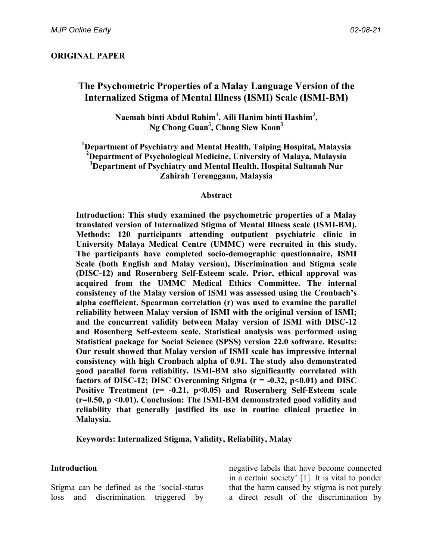# **The Psychometric Properties of a Malay Language Version of the Internalized Stigma of Mental Illness (ISMI) Scale (ISMI-BM)**

**Naemah binti Abdul Rahim1 , Aili Hanim binti Hashim<sup>2</sup> , Ng Chong Guan3 , Chong Siew Koon<sup>3</sup>**

 **Department of Psychiatry and Mental Health, Taiping Hospital, Malaysia Department of Psychological Medicine, University of Malaya, Malaysia Department of Psychiatry and Mental Health, Hospital Sultanah Nur Zahirah Terengganu, Malaysia**

#### **Abstract**

**Introduction: This study examined the psychometric properties of a Malay translated version of Internalized Stigma of Mental Illness scale (ISMI-BM). Methods: 120 participants attending outpatient psychiatric clinic in University Malaya Medical Centre (UMMC) were recruited in this study. The participants have completed socio-demographic questionnaire, ISMI Scale (both English and Malay version), Discrimination and Stigma scale (DISC-12) and Rosernberg Self-Esteem scale. Prior, ethical approval was acquired from the UMMC Medical Ethics Committee. The internal consistency of the Malay version of ISMI was assessed using the Cronbach's alpha coefficient. Spearman correlation (r) was used to examine the parallel reliability between Malay version of ISMI with the original version of ISMI; and the concurrent validity between Malay version of ISMI with DISC-12 and Rosenberg Self-esteem scale. Statistical analysis was performed using Statistical package for Social Science (SPSS) version 22.0 software. Results: Our result showed that Malay version of ISMI scale has impressive internal consistency with high Cronbach alpha of 0.91. The study also demonstrated good parallel form reliability. ISMI-BM also significantly correlated with factors of DISC-12; DISC Overcoming Stigma (r = -0.32, p<0.01) and DISC Positive Treatment (r= -0.21, p<0.05) and Rosernberg Self-Esteem scale (r=0.50, p <0.01). Conclusion: The ISMI-BM demonstrated good validity and reliability that generally justified its use in routine clinical practice in Malaysia.**

**Keywords: Internalized Stigma, Validity, Reliability, Malay**

#### **Introduction**

Stigma can be defined as the 'social-status loss and discrimination triggered by negative labels that have become connected in a certain society' [1]. It is vital to ponder that the harm caused by stigma is not purely a direct result of the discrimination by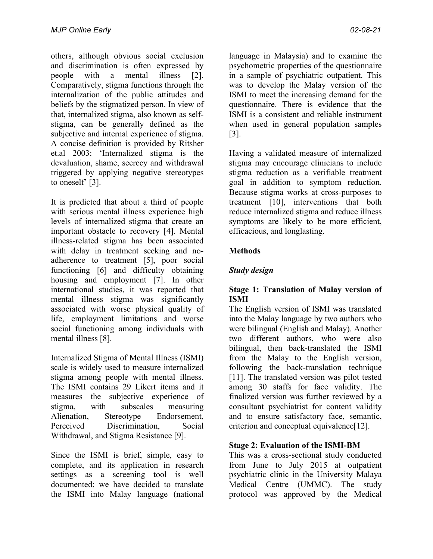others, although obvious social exclusion and discrimination is often expressed by people with a mental illness [2]. Comparatively, stigma functions through the internalization of the public attitudes and beliefs by the stigmatized person. In view of that, internalized stigma, also known as selfstigma, can be generally defined as the subjective and internal experience of stigma. A concise definition is provided by Ritsher et.al 2003: 'Internalized stigma is the devaluation, shame, secrecy and withdrawal triggered by applying negative stereotypes to oneself' [3].

It is predicted that about a third of people with serious mental illness experience high levels of internalized stigma that create an important obstacle to recovery [4]. Mental illness-related stigma has been associated with delay in treatment seeking and noadherence to treatment [5], poor social functioning [6] and difficulty obtaining housing and employment [7]. In other international studies, it was reported that mental illness stigma was significantly associated with worse physical quality of life, employment limitations and worse social functioning among individuals with mental illness [8].

Internalized Stigma of Mental Illness (ISMI) scale is widely used to measure internalized stigma among people with mental illness. The ISMI contains 29 Likert items and it measures the subjective experience of stigma, with subscales measuring Alienation, Stereotype Endorsement, Perceived Discrimination, Social Withdrawal, and Stigma Resistance [9].

Since the ISMI is brief, simple, easy to complete, and its application in research settings as a screening tool is well documented; we have decided to translate the ISMI into Malay language (national

language in Malaysia) and to examine the psychometric properties of the questionnaire in a sample of psychiatric outpatient. This was to develop the Malay version of the ISMI to meet the increasing demand for the questionnaire. There is evidence that the ISMI is a consistent and reliable instrument when used in general population samples [3].

Having a validated measure of internalized stigma may encourage clinicians to include stigma reduction as a verifiable treatment goal in addition to symptom reduction. Because stigma works at cross-purposes to treatment [10], interventions that both reduce internalized stigma and reduce illness symptoms are likely to be more efficient, efficacious, and longlasting.

# **Methods**

# *Study design*

#### **Stage 1: Translation of Malay version of ISMI**

The English version of ISMI was translated into the Malay language by two authors who were bilingual (English and Malay). Another two different authors, who were also bilingual, then back-translated the ISMI from the Malay to the English version, following the back-translation technique [11]. The translated version was pilot tested among 30 staffs for face validity. The finalized version was further reviewed by a consultant psychiatrist for content validity and to ensure satisfactory face, semantic, criterion and conceptual equivalence[12].

### **Stage 2: Evaluation of the ISMI-BM**

This was a cross-sectional study conducted from June to July 2015 at outpatient psychiatric clinic in the University Malaya Medical Centre (UMMC). The study protocol was approved by the Medical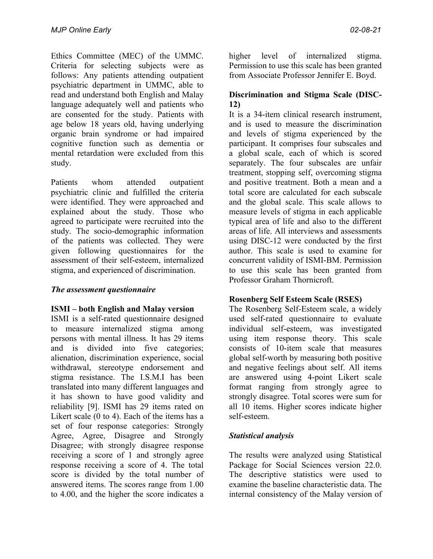Ethics Committee (MEC) of the UMMC. Criteria for selecting subjects were as follows: Any patients attending outpatient psychiatric department in UMMC, able to read and understand both English and Malay language adequately well and patients who are consented for the study. Patients with age below 18 years old, having underlying organic brain syndrome or had impaired cognitive function such as dementia or mental retardation were excluded from this study.

Patients whom attended outpatient psychiatric clinic and fulfilled the criteria were identified. They were approached and explained about the study. Those who agreed to participate were recruited into the study. The socio-demographic information of the patients was collected. They were given following questionnaires for the assessment of their self-esteem, internalized stigma, and experienced of discrimination.

### *The assessment questionnaire*

### **ISMI – both English and Malay version**

ISMI is a self-rated questionnaire designed to measure internalized stigma among persons with mental illness. It has 29 items and is divided into five categories; alienation, discrimination experience, social withdrawal, stereotype endorsement and stigma resistance. The I.S.M.I has been translated into many different languages and it has shown to have good validity and reliability [9]. ISMI has 29 items rated on Likert scale (0 to 4). Each of the items has a set of four response categories: Strongly Agree, Agree, Disagree and Strongly Disagree; with strongly disagree response receiving a score of 1 and strongly agree response receiving a score of 4. The total score is divided by the total number of answered items. The scores range from 1.00 to 4.00, and the higher the score indicates a

higher level of internalized stigma. Permission to use this scale has been granted from Associate Professor Jennifer E. Boyd.

# **Discrimination and Stigma Scale (DISC-12)**

It is a 34-item clinical research instrument, and is used to measure the discrimination and levels of stigma experienced by the participant. It comprises four subscales and a global scale, each of which is scored separately. The four subscales are unfair treatment, stopping self, overcoming stigma and positive treatment. Both a mean and a total score are calculated for each subscale and the global scale. This scale allows to measure levels of stigma in each applicable typical area of life and also to the different areas of life. All interviews and assessments using DISC-12 were conducted by the first author. This scale is used to examine for concurrent validity of ISMI-BM. Permission to use this scale has been granted from Professor Graham Thornicroft.

### **Rosenberg Self Esteem Scale (RSES)**

The Rosenberg Self-Esteem scale, a widely used self-rated questionnaire to evaluate individual self-esteem, was investigated using item response theory. This scale consists of 10-item scale that measures global self-worth by measuring both positive and negative feelings about self. All items are answered using 4-point Likert scale format ranging from strongly agree to strongly disagree. Total scores were sum for all 10 items. Higher scores indicate higher self-esteem.

# *Statistical analysis*

The results were analyzed using Statistical Package for Social Sciences version 22.0. The descriptive statistics were used to examine the baseline characteristic data. The internal consistency of the Malay version of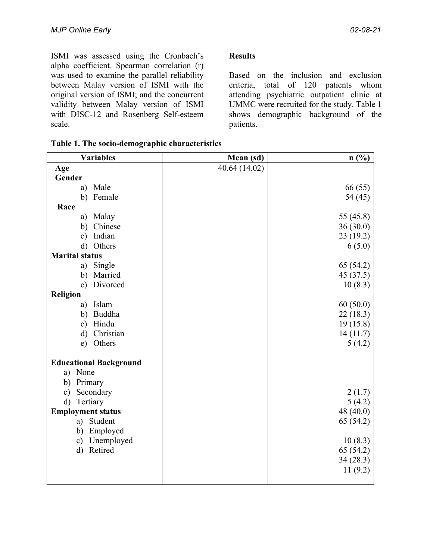ISMI was assessed using the Cronbach's alpha coefficient. Spearman correlation (r) was used to examine the parallel reliability between Malay version of ISMI with the original version of ISMI; and the concurrent validity between Malay version of ISMI with DISC-12 and Rosenberg Self-esteem scale.

## **Results**

Based on the inclusion and exclusion criteria, total of 120 patients whom attending psychiatric outpatient clinic at UMMC were recruited for the study. Table 1 shows demographic background of the patients.

| <b>Variables</b>              | Mean (sd)     | $n$ (%)   |
|-------------------------------|---------------|-----------|
| Age                           | 40.64 (14.02) |           |
| Gender                        |               |           |
| Male<br>a)                    |               | 66 (55)   |
| Female<br>b)                  |               | 54 (45)   |
| Race                          |               |           |
| Malay<br>a)                   |               | 55 (45.8) |
| b) Chinese                    |               | 36(30.0)  |
| Indian<br>$\mathbf{c})$       |               | 23(19.2)  |
| Others<br>$\mathbf{d}$        |               | 6(5.0)    |
| <b>Marital status</b>         |               |           |
| a) Single                     |               | 65 (54.2) |
| b) Married                    |               | 45 (37.5) |
| Divorced<br>$\mathbf{c}$      |               | 10(8.3)   |
| <b>Religion</b>               |               |           |
| Islam<br>a)                   |               | 60(50.0)  |
| Buddha<br>b)                  |               | 22(18.3)  |
| c) Hindu                      |               | 19(15.8)  |
| Christian<br>$\mathbf{d}$     |               | 14(11.7)  |
| Others<br>e)                  |               | 5(4.2)    |
| <b>Educational Background</b> |               |           |
| a) None                       |               |           |
| Primary<br>b)                 |               |           |
| Secondary<br>$\mathbf{c})$    |               | 2(1.7)    |
| $\rm d)$<br>Tertiary          |               | 5(4.2)    |
| <b>Employment status</b>      |               | 48 (40.0) |
| a) Student                    |               | 65 (54.2) |
| Employed<br>b)                |               |           |
| Unemployed<br>$\mathbf{c})$   |               | 10(8.3)   |
| $\mathbf{d}$<br>Retired       |               | 65 (54.2) |
|                               |               | 34(28.3)  |
|                               |               | 11(9.2)   |
|                               |               |           |

|  |  | Table 1. The socio-demographic characteristics |  |  |  |  |
|--|--|------------------------------------------------|--|--|--|--|
|  |  |                                                |  |  |  |  |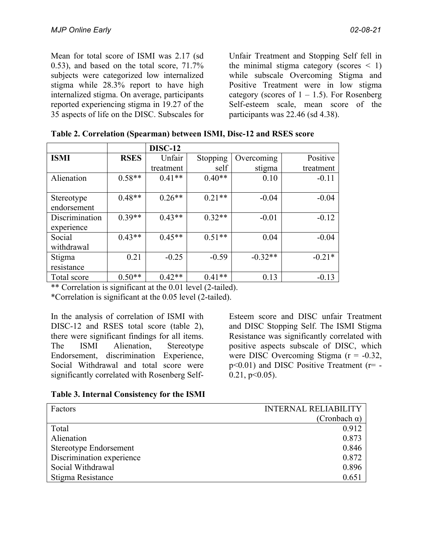Mean for total score of ISMI was 2.17 (sd 0.53), and based on the total score, 71.7% subjects were categorized low internalized stigma while 28.3% report to have high internalized stigma. On average, participants reported experiencing stigma in 19.27 of the 35 aspects of life on the DISC. Subscales for

Unfair Treatment and Stopping Self fell in the minimal stigma category (scores  $\leq$  1) while subscale Overcoming Stigma and Positive Treatment were in low stigma category (scores of  $1 - 1.5$ ). For Rosenberg Self-esteem scale, mean score of the participants was 22.46 (sd 4.38).

| Table 2. Correlation (Spearman) between ISMI, Disc-12 and RSES score |  |  |  |  |
|----------------------------------------------------------------------|--|--|--|--|
|----------------------------------------------------------------------|--|--|--|--|

|                |             | <b>DISC-12</b> |          |            |           |
|----------------|-------------|----------------|----------|------------|-----------|
| <b>ISMI</b>    | <b>RSES</b> | Unfair         | Stopping | Overcoming | Positive  |
|                |             | treatment      | self     | stigma     | treatment |
| Alienation     | $0.58**$    | $0.41**$       | $0.40**$ | 0.10       | $-0.11$   |
|                |             |                |          |            |           |
| Stereotype     | $0.48**$    | $0.26**$       | $0.21**$ | $-0.04$    | $-0.04$   |
| endorsement    |             |                |          |            |           |
| Discrimination | $0.39**$    | $0.43**$       | $0.32**$ | $-0.01$    | $-0.12$   |
| experience     |             |                |          |            |           |
| Social         | $0.43**$    | $0.45**$       | $0.51**$ | 0.04       | $-0.04$   |
| withdrawal     |             |                |          |            |           |
| Stigma         | 0.21        | $-0.25$        | $-0.59$  | $-0.32**$  | $-0.21*$  |
| resistance     |             |                |          |            |           |
| Total score    | $0.50**$    | $0.42**$       | $0.41**$ | 0.13       | $-0.13$   |

\*\* Correlation is significant at the 0.01 level (2-tailed).

\*Correlation is significant at the 0.05 level (2-tailed).

In the analysis of correlation of ISMI with DISC-12 and RSES total score (table 2), there were significant findings for all items. The ISMI Alienation, Stereotype Endorsement, discrimination Experience, Social Withdrawal and total score were significantly correlated with Rosenberg Self-

Esteem score and DISC unfair Treatment and DISC Stopping Self. The ISMI Stigma Resistance was significantly correlated with positive aspects subscale of DISC, which were DISC Overcoming Stigma (r = -0.32,  $p<0.01$ ) and DISC Positive Treatment ( $r=$  - $0.21$ ,  $p<0.05$ ).

|  |  | Table 3. Internal Consistency for the ISMI |  |  |  |
|--|--|--------------------------------------------|--|--|--|
|--|--|--------------------------------------------|--|--|--|

| Factors                   | <b>INTERNAL RELIABILITY</b> |
|---------------------------|-----------------------------|
|                           | (Cronbach $\alpha$ )        |
| Total                     | 0.912                       |
| Alienation                | 0.873                       |
| Stereotype Endorsement    | 0.846                       |
| Discrimination experience | 0.872                       |
| Social Withdrawal         | 0.896                       |
| Stigma Resistance         | 0.651                       |
|                           |                             |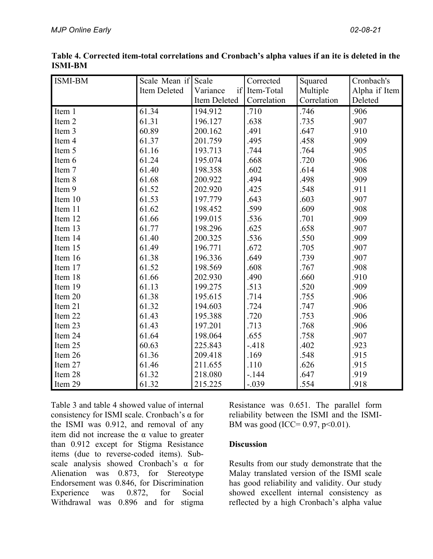| <b>ISMI-BM</b> | Scale Mean if Scale |              | Corrected     | Squared     | Cronbach's    |
|----------------|---------------------|--------------|---------------|-------------|---------------|
|                | Item Deleted        | Variance     | if Item-Total | Multiple    | Alpha if Item |
|                |                     | Item Deleted | Correlation   | Correlation | Deleted       |
| Item 1         | 61.34               | 194.912      | .710          | .746        | .906          |
| Item 2         | 61.31               | 196.127      | .638          | .735        | .907          |
| Item 3         | 60.89               | 200.162      | .491          | .647        | .910          |
| Item 4         | 61.37               | 201.759      | .495          | .458        | .909          |
| Item 5         | 61.16               | 193.713      | .744          | .764        | .905          |
| Item 6         | 61.24               | 195.074      | .668          | .720        | .906          |
| Item 7         | 61.40               | 198.358      | .602          | .614        | .908          |
| Item 8         | 61.68               | 200.922      | .494          | .498        | .909          |
| Item 9         | 61.52               | 202.920      | .425          | .548        | .911          |
| Item 10        | 61.53               | 197.779      | .643          | .603        | .907          |
| Item 11        | 61.62               | 198.452      | .599          | .609        | .908          |
| Item 12        | 61.66               | 199.015      | .536          | .701        | .909          |
| Item 13        | 61.77               | 198.296      | .625          | .658        | .907          |
| Item 14        | 61.40               | 200.325      | .536          | .550        | .909          |
| Item 15        | 61.49               | 196.771      | .672          | .705        | .907          |
| Item 16        | 61.38               | 196.336      | .649          | .739        | .907          |
| Item 17        | 61.52               | 198.569      | .608          | .767        | .908          |
| Item 18        | 61.66               | 202.930      | .490          | .660        | .910          |
| Item 19        | 61.13               | 199.275      | .513          | .520        | .909          |
| Item 20        | 61.38               | 195.615      | .714          | .755        | .906          |
| Item 21        | 61.32               | 194.603      | .724          | .747        | .906          |
| Item 22        | 61.43               | 195.388      | .720          | .753        | .906          |
| Item 23        | 61.43               | 197.201      | .713          | .768        | .906          |
| Item 24        | 61.64               | 198.064      | .655          | .758        | .907          |
| Item 25        | 60.63               | 225.843      | $-418$        | .402        | .923          |
| Item 26        | 61.36               | 209.418      | .169          | .548        | .915          |
| Item 27        | 61.46               | 211.655      | .110          | .626        | .915          |
| Item 28        | 61.32               | 218.080      | $-144$        | .647        | .919          |
| Item 29        | 61.32               | 215.225      | $-.039$       | .554        | .918          |

**Table 4. Corrected item-total correlations and Cronbach's alpha values if an ite is deleted in the ISMI-BM**

Table 3 and table 4 showed value of internal consistency for ISMI scale. Cronbach's α for the ISMI was 0.912, and removal of any item did not increase the  $\alpha$  value to greater than 0.912 except for Stigma Resistance items (due to reverse-coded items). Subscale analysis showed Cronbach's α for Alienation was 0.873, for Stereotype Endorsement was 0.846, for Discrimination Experience was 0.872, for Social Withdrawal was 0.896 and for stigma Resistance was 0.651. The parallel form reliability between the ISMI and the ISMI-BM was good (ICC=  $0.97, p<0.01$ ).

### **Discussion**

Results from our study demonstrate that the Malay translated version of the ISMI scale has good reliability and validity. Our study showed excellent internal consistency as reflected by a high Cronbach's alpha value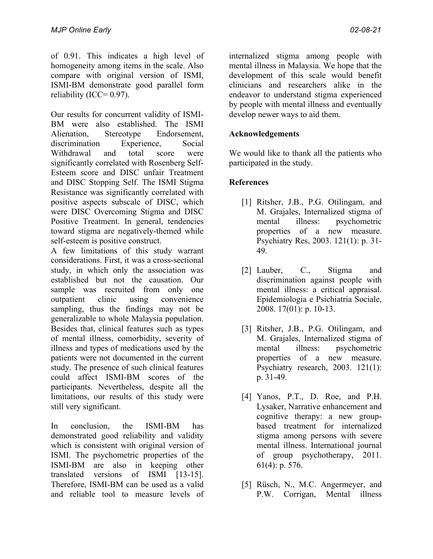of 0.91. This indicates a high level of homogeneity among items in the scale. Also compare with original version of ISMI, ISMI-BM demonstrate good parallel form reliability (ICC= $0.97$ ).

Our results for concurrent validity of ISMI-BM were also established. The ISMI Alienation, Stereotype Endorsement, discrimination Experience, Social Withdrawal and total score were significantly correlated with Rosenberg Self-Esteem score and DISC unfair Treatment and DISC Stopping Self. The ISMI Stigma Resistance was significantly correlated with positive aspects subscale of DISC, which were DISC Overcoming Stigma and DISC Positive Treatment. In general, tendencies toward stigma are negatively-themed while self-esteem is positive construct.

A few limitations of this study warrant considerations. First, it was a cross-sectional study, in which only the association was established but not the causation. Our sample was recruited from only one outpatient clinic using convenience sampling, thus the findings may not be generalizable to whole Malaysia population. Besides that, clinical features such as types of mental illness, comorbidity, severity of illness and types of medications used by the patients were not documented in the current study. The presence of such clinical features could affect ISMI-BM scores of the participants. Nevertheless, despite all the limitations, our results of this study were still very significant.

In conclusion, the ISMI-BM has demonstrated good reliability and validity which is consistent with original version of ISMI. The psychometric properties of the ISMI-BM are also in keeping other translated versions of ISMI [13-15]. Therefore, ISMI-BM can be used as a valid and reliable tool to measure levels of internalized stigma among people with mental illness in Malaysia. We hope that the development of this scale would benefit clinicians and researchers alike in the endeavor to understand stigma experienced by people with mental illness and eventually develop newer ways to aid them.

# **Acknowledgements**

We would like to thank all the patients who participated in the study.

# **References**

- [1] Ritsher, J.B., P.G. Otilingam, and M. Grajales, Internalized stigma of mental illness: psychometric properties of a new measure. Psychiatry Res, 2003. 121(1): p. 31- 49.
- [2] Lauber, C., Stigma and discrimination against people with mental illness: a critical appraisal. Epidemiologia e Psichiatria Sociale, 2008. 17(01): p. 10-13.
- [3] Ritsher, J.B., P.G. Otilingam, and M. Grajales, Internalized stigma of mental illness: psychometric properties of a new measure. Psychiatry research, 2003. 121(1): p. 31-49.
- [4] Yanos, P.T., D. Roe, and P.H. Lysaker, Narrative enhancement and cognitive therapy: a new groupbased treatment for internalized stigma among persons with severe mental illness. International journal of group psychotherapy, 2011. 61(4): p. 576.
- [5] Rüsch, N., M.C. Angermeyer, and P.W. Corrigan, Mental illness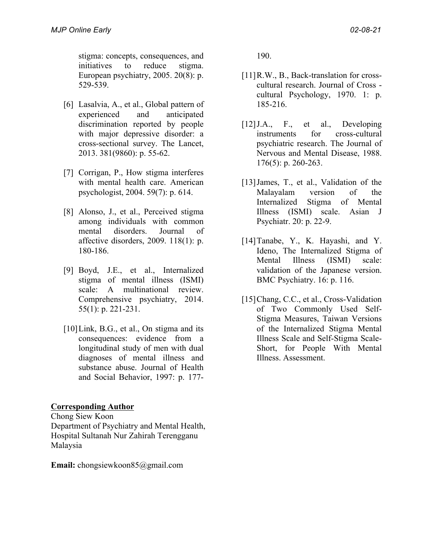stigma: concepts, consequences, and initiatives to reduce stigma. European psychiatry, 2005. 20(8): p. 529-539.

- [6] Lasalvia, A., et al., Global pattern of experienced and anticipated discrimination reported by people with major depressive disorder: a cross-sectional survey. The Lancet, 2013. 381(9860): p. 55-62.
- [7] Corrigan, P., How stigma interferes with mental health care. American psychologist, 2004. 59(7): p. 614.
- [8] Alonso, J., et al., Perceived stigma among individuals with common mental disorders. Journal of affective disorders, 2009. 118(1): p. 180-186.
- [9] Boyd, J.E., et al., Internalized stigma of mental illness (ISMI) scale: A multinational review. Comprehensive psychiatry, 2014. 55(1): p. 221-231.
- [10] Link, B.G., et al., On stigma and its consequences: evidence from a longitudinal study of men with dual diagnoses of mental illness and substance abuse. Journal of Health and Social Behavior, 1997: p. 177-

### **Corresponding Author**

Chong Siew Koon Department of Psychiatry and Mental Health, Hospital Sultanah Nur Zahirah Terengganu Malaysia

**Email:** chongsiewkoon85@gmail.com

190.

- [11] R.W., B., Back-translation for crosscultural research. Journal of Cross cultural Psychology, 1970. 1: p. 185-216.
- [12]J.A., F., et al., Developing instruments for cross-cultural psychiatric research. The Journal of Nervous and Mental Disease, 1988. 176(5): p. 260-263.
- [13] James, T., et al., Validation of the Malayalam version of the Internalized Stigma of Mental Illness (ISMI) scale. Asian J Psychiatr. 20: p. 22-9.
- [14]Tanabe, Y., K. Hayashi, and Y. Ideno, The Internalized Stigma of Mental Illness (ISMI) scale: validation of the Japanese version. BMC Psychiatry. 16: p. 116.
- [15]Chang, C.C., et al., Cross-Validation of Two Commonly Used Self-Stigma Measures, Taiwan Versions of the Internalized Stigma Mental Illness Scale and Self-Stigma Scale-Short, for People With Mental Illness. Assessment.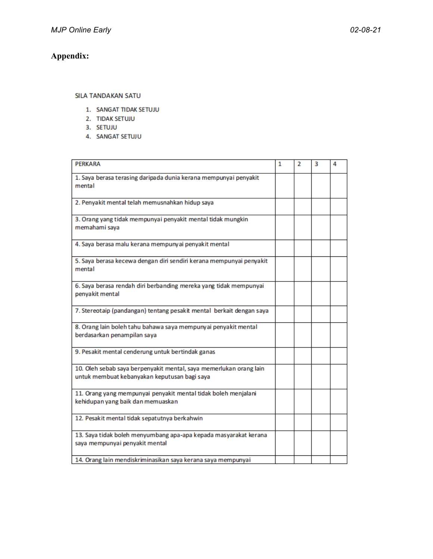# **Appendix:**

#### SILA TANDAKAN SATU

- 1. SANGAT TIDAK SETUJU
- 2. TIDAK SETUJU
- 3. SETUJU
- 4. SANGAT SETUJU

| PERKARA                                                                                                            | 1 | フ | 3 | 4 |
|--------------------------------------------------------------------------------------------------------------------|---|---|---|---|
| 1. Saya berasa terasing daripada dunia kerana mempunyai penyakit<br>mental                                         |   |   |   |   |
| 2. Penyakit mental telah memusnahkan hidup saya                                                                    |   |   |   |   |
| 3. Orang yang tidak mempunyai penyakit mental tidak mungkin<br>memahami saya                                       |   |   |   |   |
| 4. Saya berasa malu kerana mempunyai penyakit mental                                                               |   |   |   |   |
| 5. Saya berasa kecewa dengan diri sendiri kerana mempunyai penyakit<br>mental                                      |   |   |   |   |
| 6. Saya berasa rendah diri berbanding mereka yang tidak mempunyai<br>penyakit mental                               |   |   |   |   |
| 7. Stereotaip (pandangan) tentang pesakit mental berkait dengan saya                                               |   |   |   |   |
| 8. Orang lain boleh tahu bahawa saya mempunyai penyakit mental<br>berdasarkan penampilan saya                      |   |   |   |   |
| 9. Pesakit mental cenderung untuk bertindak ganas                                                                  |   |   |   |   |
| 10. Oleh sebab saya berpenyakit mental, saya memerlukan orang lain<br>untuk membuat kebanyakan keputusan bagi saya |   |   |   |   |
| 11. Orang yang mempunyai penyakit mental tidak boleh menjalani<br>kehidupan yang baik dan memuaskan                |   |   |   |   |
| 12. Pesakit mental tidak sepatutnya berkahwin                                                                      |   |   |   |   |
| 13. Saya tidak boleh menyumbang apa-apa kepada masyarakat kerana<br>saya mempunyai penyakit mental                 |   |   |   |   |
| 14. Orang lain mendiskriminasikan saya kerana saya mempunyai                                                       |   |   |   |   |